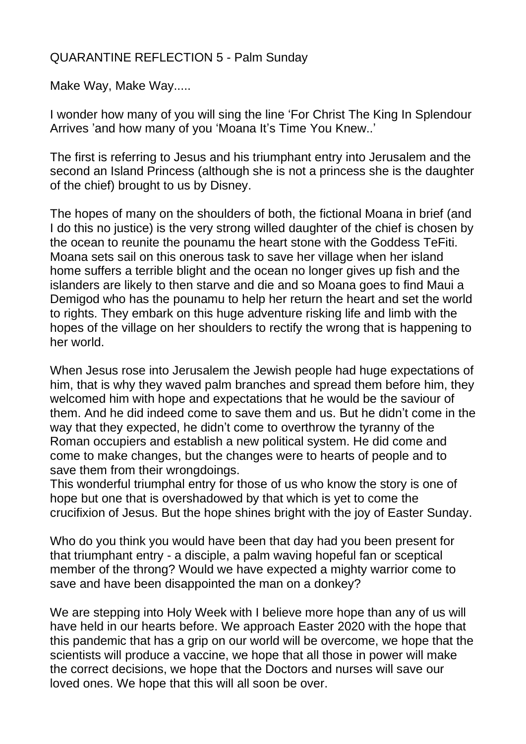## QUARANTINE REFLECTION 5 - Palm Sunday

Make Way, Make Way.....

I wonder how many of you will sing the line 'For Christ The King In Splendour Arrives 'and how many of you 'Moana It's Time You Knew..'

The first is referring to Jesus and his triumphant entry into Jerusalem and the second an Island Princess (although she is not a princess she is the daughter of the chief) brought to us by Disney.

The hopes of many on the shoulders of both, the fictional Moana in brief (and I do this no justice) is the very strong willed daughter of the chief is chosen by the ocean to reunite the pounamu the heart stone with the Goddess TeFiti. Moana sets sail on this onerous task to save her village when her island home suffers a terrible blight and the ocean no longer gives up fish and the islanders are likely to then starve and die and so Moana goes to find Maui a Demigod who has the pounamu to help her return the heart and set the world to rights. They embark on this huge adventure risking life and limb with the hopes of the village on her shoulders to rectify the wrong that is happening to her world.

When Jesus rose into Jerusalem the Jewish people had huge expectations of him, that is why they waved palm branches and spread them before him, they welcomed him with hope and expectations that he would be the saviour of them. And he did indeed come to save them and us. But he didn't come in the way that they expected, he didn't come to overthrow the tyranny of the Roman occupiers and establish a new political system. He did come and come to make changes, but the changes were to hearts of people and to save them from their wrongdoings.

This wonderful triumphal entry for those of us who know the story is one of hope but one that is overshadowed by that which is yet to come the crucifixion of Jesus. But the hope shines bright with the joy of Easter Sunday.

Who do you think you would have been that day had you been present for that triumphant entry - a disciple, a palm waving hopeful fan or sceptical member of the throng? Would we have expected a mighty warrior come to save and have been disappointed the man on a donkey?

We are stepping into Holy Week with I believe more hope than any of us will have held in our hearts before. We approach Easter 2020 with the hope that this pandemic that has a grip on our world will be overcome, we hope that the scientists will produce a vaccine, we hope that all those in power will make the correct decisions, we hope that the Doctors and nurses will save our loved ones. We hope that this will all soon be over.